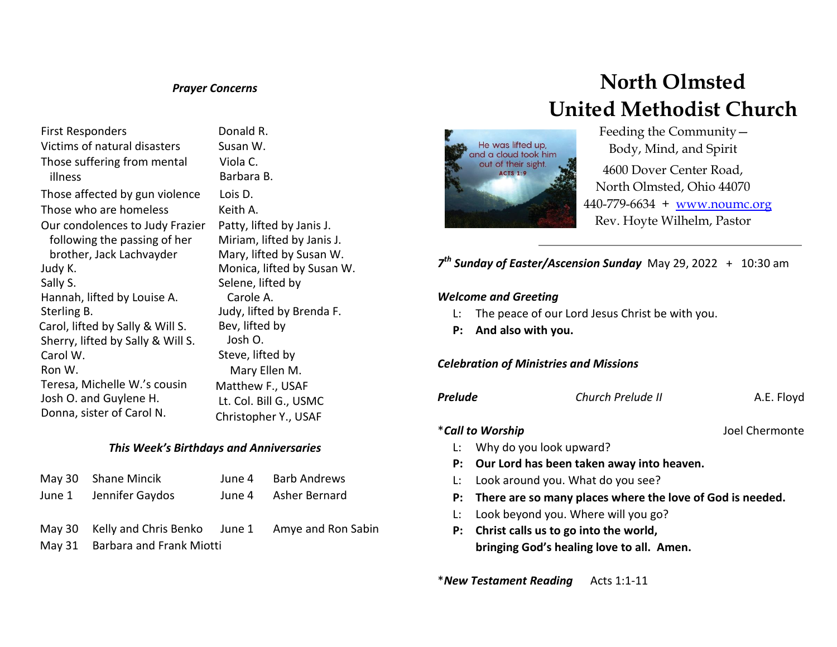### *Prayer Concerns*

First Responders **Donald R.** Victims of natural disasters Susan W. Those suffering from mental illness Those affected by gun violence Lois D. Those who are homeless Keith A. Our condolences to Judy Frazier following the passing of her brother, Jack Lachvayder Judy K. Sally S. Hannah, lifted by Louise A. Sterling B. Carol, lifted by Sally & Will S. Sherry, lifted by Sally & Will S. Carol W. Ron W. Teresa, Michelle W.'s cousin Josh O. and Guylene H. Donna, sister of Carol N.

Viola C. Barbara B. Patty, lifted by Janis J. Miriam, lifted by Janis J. Mary, lifted by Susan W. Monica, lifted by Susan W. Selene, lifted by Carole A. Judy, lifted by Brenda F. Bev, lifted by Josh O. Steve, lifted by Mary Ellen M. Matthew F., USAF Lt. Col. Bill G., USMC Christopher Y., USAF

## *This Week's Birthdays and Anniversaries*

| May 30 Shane Mincik                                    | June 4 Barb Andrews  |
|--------------------------------------------------------|----------------------|
| June 1 Jennifer Gaydos                                 | June 4 Asher Bernard |
|                                                        |                      |
| May 30 Kelly and Chris Benko June 1 Amye and Ron Sabin |                      |
| May 31 Barbara and Frank Miotti                        |                      |
|                                                        |                      |

# **North Olmsted United Methodist Church**



 Feeding the Community— Body, Mind, and Spirit

4600 Dover Center Road, North Olmsted, Ohio 44070 440-779-6634 + [www.noumc.org](http://www.noumc.org/) Rev. Hoyte Wilhelm, Pastor

*7 th Sunday of Easter/Ascension Sunday* May 29, 2022 + 10:30 am

## *Welcome and Greeting*

- L: The peace of our Lord Jesus Christ be with you.
- **P: And also with you.**

#### *Celebration of Ministries and Missions*

*Prelude Church Prelude II* A.E. Floyd

#### \**Call to Worship* Joel Chermonte

- L: Why do you look upward?
- **P: Our Lord has been taken away into heaven.**
- L: Look around you. What do you see?
- **P: There are so many places where the love of God is needed.**
- L: Look beyond you. Where will you go?
- **P: Christ calls us to go into the world, bringing God's healing love to all. Amen.**

\**New Testament Reading* Acts 1:1-11